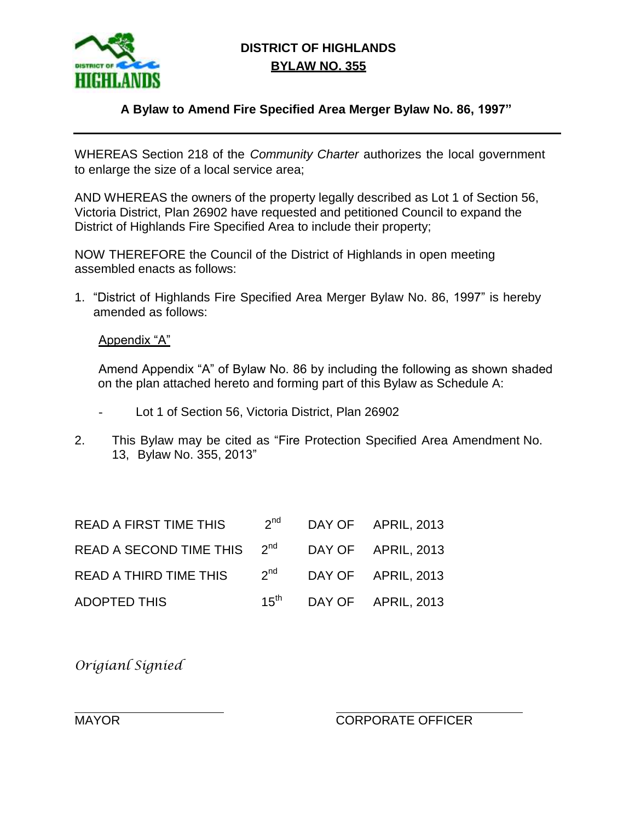

## **DISTRICT OF HIGHLANDS BYLAW NO. 355**

## **A Bylaw to Amend Fire Specified Area Merger Bylaw No. 86, 1997"**

WHEREAS Section 218 of the *Community Charter* authorizes the local government to enlarge the size of a local service area;

AND WHEREAS the owners of the property legally described as Lot 1 of Section 56, Victoria District, Plan 26902 have requested and petitioned Council to expand the District of Highlands Fire Specified Area to include their property;

NOW THEREFORE the Council of the District of Highlands in open meeting assembled enacts as follows:

1. "District of Highlands Fire Specified Area Merger Bylaw No. 86, 1997" is hereby amended as follows:

Appendix "A"

Amend Appendix "A" of Bylaw No. 86 by including the following as shown shaded on the plan attached hereto and forming part of this Bylaw as Schedule A:

- Lot 1 of Section 56, Victoria District, Plan 26902
- 2. This Bylaw may be cited as "Fire Protection Specified Area Amendment No. 13, Bylaw No. 355, 2013"

| <b>READ A FIRST TIME THIS</b> | $2^{\text{nd}}$ | DAY OF APRIL, 2013 |
|-------------------------------|-----------------|--------------------|
| READ A SECOND TIME THIS 2nd   |                 | DAY OF APRIL, 2013 |
| <b>READ A THIRD TIME THIS</b> | $2^{\text{nd}}$ | DAY OF APRIL, 2013 |
| ADOPTED THIS                  | $15^{\sf th}$   | DAY OF APRIL, 2013 |

*Origianl Signied*

MAYOR CORPORATE OFFICER